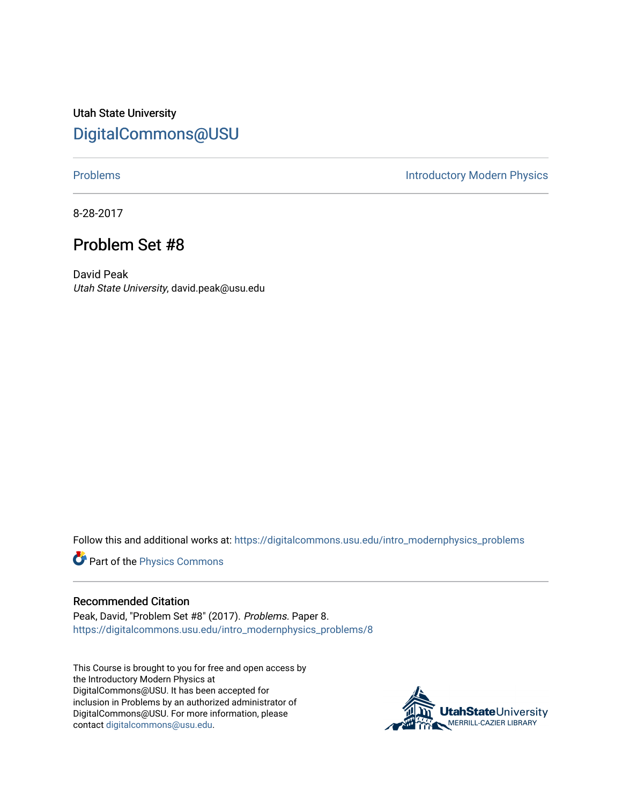Utah State University [DigitalCommons@USU](https://digitalcommons.usu.edu/)

[Problems](https://digitalcommons.usu.edu/intro_modernphysics_problems) **Introductory Modern Physics** 

8-28-2017

## Problem Set #8

David Peak Utah State University, david.peak@usu.edu

Follow this and additional works at: [https://digitalcommons.usu.edu/intro\\_modernphysics\\_problems](https://digitalcommons.usu.edu/intro_modernphysics_problems?utm_source=digitalcommons.usu.edu%2Fintro_modernphysics_problems%2F8&utm_medium=PDF&utm_campaign=PDFCoverPages) 

Part of the [Physics Commons](http://network.bepress.com/hgg/discipline/193?utm_source=digitalcommons.usu.edu%2Fintro_modernphysics_problems%2F8&utm_medium=PDF&utm_campaign=PDFCoverPages)

## Recommended Citation

Peak, David, "Problem Set #8" (2017). Problems. Paper 8. [https://digitalcommons.usu.edu/intro\\_modernphysics\\_problems/8](https://digitalcommons.usu.edu/intro_modernphysics_problems/8?utm_source=digitalcommons.usu.edu%2Fintro_modernphysics_problems%2F8&utm_medium=PDF&utm_campaign=PDFCoverPages)

This Course is brought to you for free and open access by the Introductory Modern Physics at DigitalCommons@USU. It has been accepted for inclusion in Problems by an authorized administrator of DigitalCommons@USU. For more information, please contact [digitalcommons@usu.edu](mailto:digitalcommons@usu.edu).